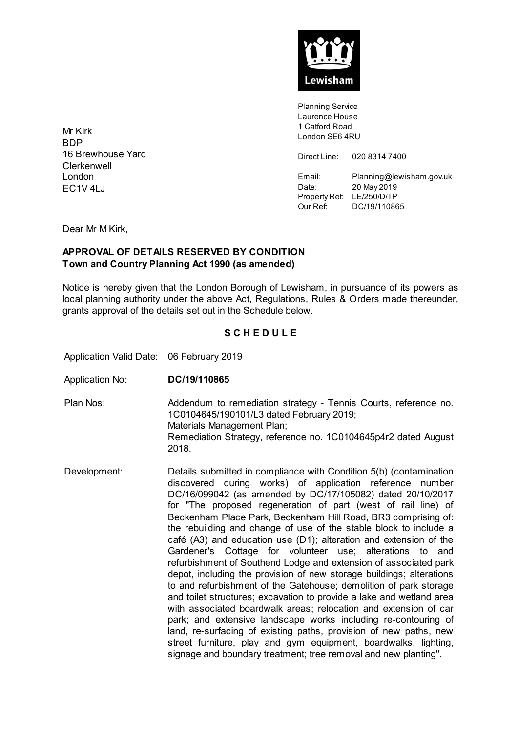

Planning Service Laurence House 1 Catford Road London SE6 4RU

Direct Line: 020 8314 7400

Email: Planning@lewisham.gov.uk Date: 20 May 2019 Property Ref: LE/250/D/TP Our Ref: DC/19/110865

Mr Kirk **BDP** 16 Brewhouse Yard **Clerkenwell** London EC1V 4LJ

Dear Mr M Kirk,

## **APPROVAL OF DETAILS RESERVED BY CONDITION Town and Country Planning Act 1990 (as amended)**

Notice is hereby given that the London Borough of Lewisham, in pursuance of its powers as local planning authority under the above Act, Regulations, Rules & Orders made thereunder, grants approval of the details set out in the Schedule below.

## **S C H E D U L E**

Application Valid Date: 06 February 2019

Application No: **DC/19/110865**

Plan Nos: Addendum to remediation strategy - Tennis Courts, reference no. 1C0104645/190101/L3 dated February 2019; Materials Management Plan; Remediation Strategy, reference no. 1C0104645p4r2 dated August 2018.

Development: Details submitted in compliance with Condition 5(b) (contamination discovered during works) of application reference number DC/16/099042 (as amended by DC/17/105082) dated 20/10/2017 for "The proposed regeneration of part (west of rail line) of Beckenham Place Park, Beckenham Hill Road, BR3 comprising of: the rebuilding and change of use of the stable block to include a café (A3) and education use (D1); alteration and extension of the Gardener's Cottage for volunteer use; alterations to and refurbishment of Southend Lodge and extension of associated park depot, including the provision of new storage buildings; alterations to and refurbishment of the Gatehouse; demolition of park storage and toilet structures; excavation to provide a lake and wetland area with associated boardwalk areas; relocation and extension of car park; and extensive landscape works including re-contouring of land, re-surfacing of existing paths, provision of new paths, new street furniture, play and gym equipment, boardwalks, lighting, signage and boundary treatment; tree removal and new planting".